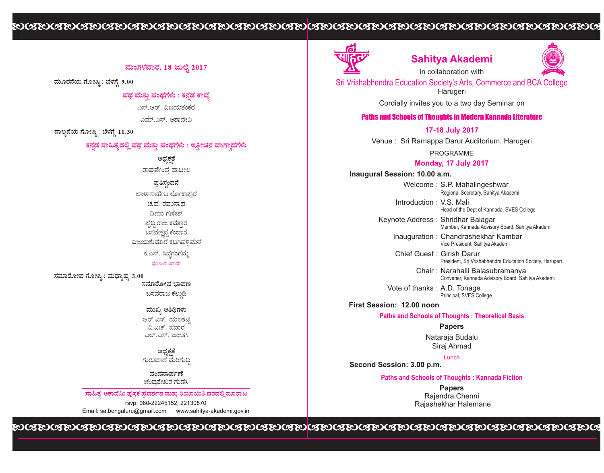# 

## ಮಂಗಳವಾರ, 18 ಜುಲೈ 2017

ಮೂರನೆಯ ಗೋಷ್ಠಿ : ಬೆಳಗ್ಗೆ 9.00

ಪಥ ಮತು ಪಂಥಗಳು : ಕನಡ ಕಾವ್ತ

ಎಸ್.ಆರ್. ವಿಜಯಶಂಕರ

ಎಮ್.ಎಸ್. ಆಶಾದೇವಿ

ನಾಲ್ಕನೆಯ ಗೋಷ್ಠಿ : ಬೆಳಗ್ಗೆ 11.30

## ಕನ್ನಡ ಸಾಹಿತ್ಯದಲ್ಲಿ ಪಥ ಮತ್ತು ಪಂಥಗಳು : ಇತ್ತೀಚಿನ ವಾಗ್ವಾದಗಳು

ಅಧ್ಯಕತೆ

ರಾಘವೇಂದ್ರ ಪಾಟೀಲ ಪ್ರತಿಸಂದನೆ

ಬೋಜನ ವಿರಾಮ ಬಾಳಾಸಾಹೇಬ ಲೋಕಾಪುರ ಚ.ಹ. ರಮುನಾದ ದೀಪಾ ಗಣೇಶ್ ಪ್ರಥ್ರಿರಾಜ ಕವತ್ತಾರ ಬಸವಣೆಪ ಕಂಬಾರ ವಿಜಯಕುಮಾರ ಕಟಗಿಹಳ್ಳಿಮಠ ಕೆ.ಎಸ್. ಸಿದ್ಧಗಂಗಮ್ಮ

ಸಮಾರೋಪ ಗೋಷ್ಠಿ : ಮಧ್ಯಾಹೃ 3.00 ಸಮಾರೋಪ ಬಾಷಣ

ಬಸವರಾಜ ಕಲುಡಿ

ಮುಖ್ಯ ಅತಿಥಿಗಳು ಆರ್.ಎಸ್. ಯಲಶೆಟಿ ವಿ.ಎಚ್. ಪವಾರ ಎಲ್.ಎಸ್. ಜಂಬಗಿ

ಅದ್ರಕತೆ ಗುರುಪಾದ ಮರಿಗುದಿ

ಮಂದನಾರ್ಪಣೆ ಚಂದಶೇಖರ ಗುಡಸಿ

ಸಾಹಿತ್ತ ಅಕಾದೆಮಿ ಪುಸಕ ಪ್ರದರ್ಶನ ಮತು ರಿಯಾಯಿತಿ ದರದಲಿ ಮಾರಾಟ rsvp: 080-22245152, 22130870 Email: sa.bengaluru@gmail.com www.sahitya-akademi.gov.in



## **Sahitya Akademi**

in collaboration with



Sri Vrishabhendra Education Society's Arts, Commerce and BCA College Harugeri

Cordially invites you to a two day Seminar on

## Paths and Schools of Thoughts in Modern Kannada Literature

**17-18 July 2017**

Venue : Sri Ramappa Darur Auditorium, Harugeri

PROGRAMME

#### **Monday, 17 July 2017**

**Inaugural Session: 10.00 a.m.**

Welcome : S.P. Mahalingeshwar Regional Secretary, Sahitya Akademi

Introduction : V.S. Mali Head of the Dept of Kannada, SVES College

Keynote Address : Shridhar Balagar Member, Kannada Advisory Board, Sahitya Akademi

Inauguration : Chandrashekhar Kambar Vice President, Sahitya Akademi

Chief Guest : Girish Darur President, Sri Vrishabhendra Education Society, Harugeri

> Chair : Narahalli Balasubramanya Convener, Kannada Advisory Board, Sahitya Akademi

Vote of thanks : A.D. Tonage Principal, SVES College

**First Session: 12.00 noon**

**Paths and Schools of Thoughts : Theoretical Basis**

**Papers** 

Nataraja Budalu Siraj Ahmad

**Second Session: 3.00 p.m.**  Lunch

#### **Paths and Schools of Thoughts : Kannada Fiction**

**Papers**  Rajendra Chenni Rajashekhar Halemane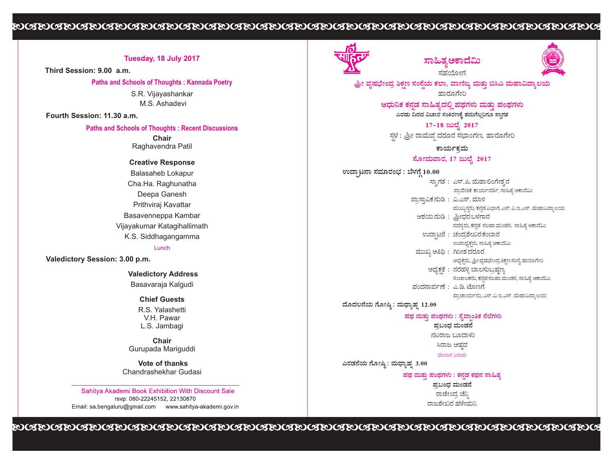## 

## **Tuesday, 18 July 2017**

**Third Session: 9.00 a.m.**

**Paths and Schools of Thoughts : Kannada Poetry** 

S.R. Vijayashankar M.S. Ashadevi

**Fourth Session: 11.30 a.m.**

## **Paths and Schools of Thoughts : Recent Discussions**

**Chair**  Raghavendra Patil

**Creative Response** Balasaheb Lokapur Cha.Ha. Raghunatha Deepa Ganesh Prithviraj Kavattar Basavenneppa Kambar Vijayakumar Katagihallimath K.S. Siddhagangamma

#### Lunch

**Valedictory Session: 3.00 p.m.**

**Valedictory Address**

Basavaraja Kalgudi

**Chief Guests**

R.S. Yalashetti V.H. Pawar L.S. Jambagi

**Chair** Gurupada Mariguddi

**Vote of thanks** Chandrashekhar Gudasi

Sahitya Akademi Book Exhibition With Discount Sale rsvp: 080-22245152, 22130870 Email: sa.bengaluru@gmail.com www.sahitya-akademi.gov.in



# ಸಾಹಿತ್ತಅಕಾದಮಿ

ಸಹಯೋಗ



ಶ್ರೀ ವೃಷಭೇಂದ್ರ ಶಿಕ್ಷಣ ಸಂಸ್ಥೆಯ ಕಲಾ, ವಾಣಿಜ್ಯ ಮತ್ತು ಬಿಸಿಎ ಮಹಾವಿದ್ಯಾಲ ಹಾರೂಗೇರಿ

> ಎರಡು ದಿನದ ವಿಚಾರ ಸಂಕಿರಣಕ್ಕೆ ತಮಗೆಲ್ಪರಿಗೂ ಸ್ರಾಗತ ಆಧುನಿಕ ಕನಡ ಸಾಹಿತ್ಯದಲ್ಲಿ ಪಥಗಳು ಮತ್ತು ಪಂಥಗಳು

17-18 ಜುಲೈ 2017 ಸ್ಥಳ : ಶ್ರೀ ರಾಮಪ್ಪ ದರೂರ ಸಭಾಂಗಣ, ಹಾರೂಗೇರಿ

ಕಾರ್ಯಕ್ರಮ

ಸೋಮವಾರ, 17 ಜುಲೈ 2017

ಉದಾಟನಾ ಸಮಾರಂಭ : ಬೆಳಗೆ 10.00

ಸ್ವಾಗತ : ಎಸ್.ಪಿ. ಮಹಾಲಿಂಗೇಶ್ವರ ಪ್ರಾದೇಶಿಕ ಕಾರ್ಯದರ್ಶಿ, ಸಾಹಿತ್ಯ ಅಕಾದೆಮಿ ಪ್ರಾಸ್ತಾವಿಕ ನುಡಿ : ವಿ.ಎಸ್. ಮಾಳಿ ಮುಖ್ಯಸ್ಥರು, ಕನ್ನಡ ವಿಭಾಗ, ಎಸ್.ವಿ.ಇ.ಎಸ್. ಮಹಾವಿದ್ಯಾಲಯ ಆಶಯನುಡಿ : ಶ್ರೀಧರ ಬಳಗಾರ ಸದಸ್ಯರು, ಕನ್ನಡ ಸಲಹಾ ಮಂಡಳಿ, ಸಾಹಿತ್ಯ ಅಕಾದೆಮಿ ಉದ್ಘಾಟನೆ : ಚಂದ್ರಶೇಖರಕಂಬಾರ ಉಪಾಧ್ಯಕ್ಷರು, ಸಾಹಿತ್ಯ ಅಕಾದೆಮಿ ಮುಖ್ಯ ಅತಿಥಿ :  $\hbar$ ರೀಶ ದರೂರ ಅಧ್ಯಕ್ಷರು, ಶ್ರೀ ವೃಷಭೇಂದ್ರ ಶಿಕ್ಷಣ ಸಂಸ್ಥೆ. ಹಾರೂಗೇರಿ ಅಧ್ಯಕ್ಷತೆ : ನರಹಳ್ಳಿ ಬಾಲಸುಬ್ರಹ್ಮಣ್ಯ ಸಂಚಾಲಕರು, ಕನ್ನಡ ಸಲಹಾ ಮಂಡಳಿ, ಸಾಹಿತ್ಯ ಆಕಾದೆಮಿ ವಂದನಾರ್ಪಣೆ : ಎ.ಡಿ. ಟೊಣಗೆ ಪ್ರಾಚಾರ್ಯರು, ಎಸ್.ವಿ.ಇ.ಎಸ್. ಮಹಾವಿದ್ಯಾಲಯ

ಮೊದಲನೆಯ ಗೋಷ್ಠಿ: ಮಧ್ಯಾಹ್ನ 12.00

#### ಪಥ ಮತ್ತು ಪಂಥಗಳು : ಸೈದ್ಧಾಂತಿಕ ನೆಲೆಗಳು

ಪ್ರಬಂಧ ಮಂಡನೆ ನಟರಾಜ ಬೂದಾಳು

ಸಿರಾಜ ಅಹದ

ಬೋಜನ ವಿರಾಮ

ಎರಡನೆಯ ಗೋಷ್ಠಿ: ಮಧ್ಯಾಹ್ನ 3.00

ಪಥ ಮತು ಪಂಥಗಳು : ಕನಡ ಕಥನ ಸಾಹಿತ್ಯ

ಪ್ರಬಂಧ ಮಂಡನೆ ರಾಜೇಂದ್ರ ಚೆನ್ನಿ ರಾಜಶೇಖರ ಹಳೇಮನಿ